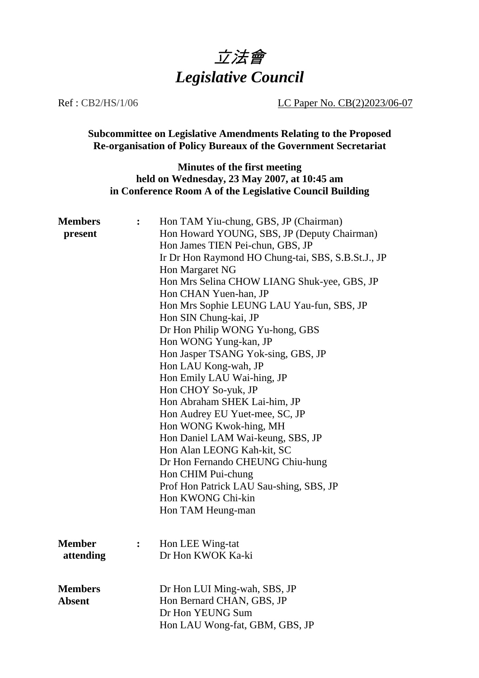

### Ref : CB2/HS/1/06 LC Paper No. CB(2)2023/06-07

**Subcommittee on Legislative Amendments Relating to the Proposed Re-organisation of Policy Bureaux of the Government Secretariat**

# **Minutes of the first meeting held on Wednesday, 23 May 2007, at 10:45 am in Conference Room A of the Legislative Council Building**

| <b>Members</b> | $\ddot{\cdot}$ | Hon TAM Yiu-chung, GBS, JP (Chairman)                                                   |  |  |
|----------------|----------------|-----------------------------------------------------------------------------------------|--|--|
| present        |                | Hon Howard YOUNG, SBS, JP (Deputy Chairman)                                             |  |  |
|                |                | Hon James TIEN Pei-chun, GBS, JP                                                        |  |  |
|                |                | Ir Dr Hon Raymond HO Chung-tai, SBS, S.B.St.J., JP                                      |  |  |
|                |                | Hon Margaret NG<br>Hon Mrs Selina CHOW LIANG Shuk-yee, GBS, JP<br>Hon CHAN Yuen-han, JP |  |  |
|                |                |                                                                                         |  |  |
|                |                |                                                                                         |  |  |
|                |                | Hon Mrs Sophie LEUNG LAU Yau-fun, SBS, JP                                               |  |  |
|                |                | Hon SIN Chung-kai, JP                                                                   |  |  |
|                |                | Dr Hon Philip WONG Yu-hong, GBS                                                         |  |  |
|                |                | Hon WONG Yung-kan, JP                                                                   |  |  |
|                |                | Hon Jasper TSANG Yok-sing, GBS, JP                                                      |  |  |
|                |                | Hon LAU Kong-wah, JP                                                                    |  |  |
|                |                | Hon Emily LAU Wai-hing, JP                                                              |  |  |
|                |                | Hon CHOY So-yuk, JP                                                                     |  |  |
|                |                | Hon Abraham SHEK Lai-him, JP                                                            |  |  |
|                |                | Hon Audrey EU Yuet-mee, SC, JP                                                          |  |  |
|                |                | Hon WONG Kwok-hing, MH                                                                  |  |  |
|                |                | Hon Daniel LAM Wai-keung, SBS, JP                                                       |  |  |
|                |                | Hon Alan LEONG Kah-kit, SC                                                              |  |  |
|                |                | Dr Hon Fernando CHEUNG Chiu-hung                                                        |  |  |
|                |                | Hon CHIM Pui-chung                                                                      |  |  |
|                |                | Prof Hon Patrick LAU Sau-shing, SBS, JP                                                 |  |  |
|                |                | Hon KWONG Chi-kin                                                                       |  |  |
|                |                | Hon TAM Heung-man                                                                       |  |  |
|                |                |                                                                                         |  |  |
|                |                |                                                                                         |  |  |
| <b>Member</b>  | $\ddot{\cdot}$ | Hon LEE Wing-tat                                                                        |  |  |
| attending      |                | Dr Hon KWOK Ka-ki                                                                       |  |  |
|                |                |                                                                                         |  |  |
| <b>Members</b> |                |                                                                                         |  |  |
| <b>Absent</b>  |                | Dr Hon LUI Ming-wah, SBS, JP<br>Hon Bernard CHAN, GBS, JP                               |  |  |
|                |                | Dr Hon YEUNG Sum                                                                        |  |  |
|                |                | Hon LAU Wong-fat, GBM, GBS, JP                                                          |  |  |
|                |                |                                                                                         |  |  |
|                |                |                                                                                         |  |  |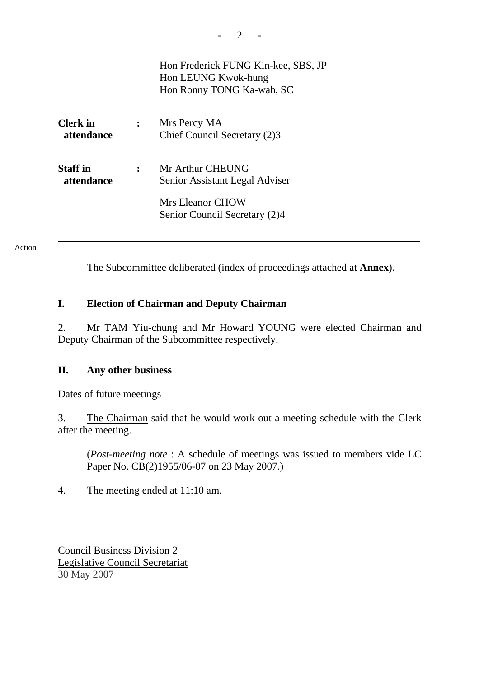|                               |                | Hon Frederick FUNG Kin-kee, SBS, JP<br>Hon LEUNG Kwok-hung<br>Hon Ronny TONG Ka-wah, SC |
|-------------------------------|----------------|-----------------------------------------------------------------------------------------|
| <b>Clerk</b> in<br>attendance | $\ddot{\cdot}$ | Mrs Percy MA<br>Chief Council Secretary (2)3                                            |
| <b>Staff</b> in<br>attendance | $\ddot{\cdot}$ | Mr Arthur CHEUNG<br>Senior Assistant Legal Adviser                                      |
|                               |                | Mrs Eleanor CHOW<br>Senior Council Secretary (2)4                                       |

#### Action

The Subcommittee deliberated (index of proceedings attached at **Annex**).

## **I. Election of Chairman and Deputy Chairman**

2. Mr TAM Yiu-chung and Mr Howard YOUNG were elected Chairman and Deputy Chairman of the Subcommittee respectively.

## **II. Any other business**

Dates of future meetings

3. The Chairman said that he would work out a meeting schedule with the Clerk after the meeting.

 (*Post-meeting note* : A schedule of meetings was issued to members vide LC Paper No. CB(2)1955/06-07 on 23 May 2007.)

4. The meeting ended at 11:10 am.

Council Business Division 2 Legislative Council Secretariat 30 May 2007